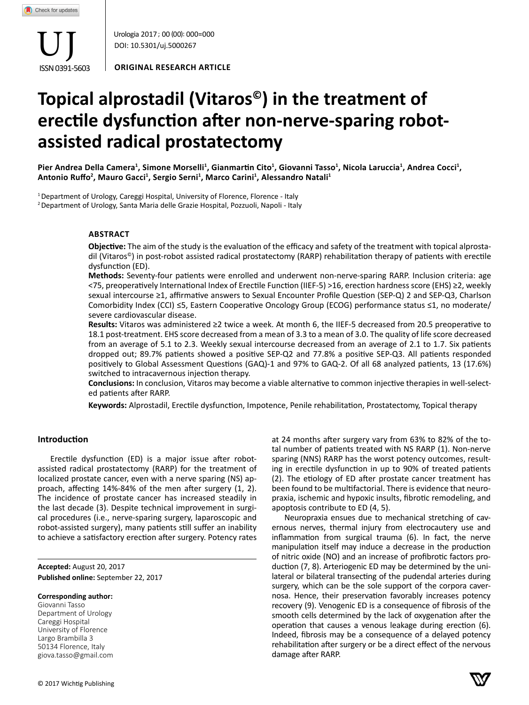ISSN 0391-5603 UJ

Urologia 2017 ; 00 (00): 000=000 DOI: 10.5301/uj.5000267

**ORIGINAL RESEARCH ARTICLE**

# **Topical alprostadil (Vitaros©) in the treatment of erectile dysfunction after non-nerve-sparing robotassisted radical prostatectomy**

Pier Andrea Della Camera<sup>1</sup>, Simone Morselli<sup>1</sup>, Gianmartin Cito<sup>1</sup>, Giovanni Tasso<sup>1</sup>, Nicola Laruccia<sup>1</sup>, Andrea Cocci<sup>1</sup>, **Antonio Ruffo<sup>2</sup> , Mauro Gacci<sup>1</sup> , Sergio Serni<sup>1</sup> , Marco Carini<sup>1</sup> , Alessandro Natali<sup>1</sup>**

<sup>1</sup> Department of Urology, Careggi Hospital, University of Florence, Florence - Italy

2 Department of Urology, Santa Maria delle Grazie Hospital, Pozzuoli, Napoli - Italy

## **AbSTRACT**

**Objective:** The aim of the study is the evaluation of the efficacy and safety of the treatment with topical alprostadil (Vitaros©) in post-robot assisted radical prostatectomy (RARP) rehabilitation therapy of patients with erectile dysfunction (ED).

**Methods:** Seventy-four patients were enrolled and underwent non-nerve-sparing RARP. Inclusion criteria: age <75, preoperatively International Index of Erectile Function (IIEF-5) >16, erection hardness score (EHS) ≥2, weekly sexual intercourse ≥1, affirmative answers to Sexual Encounter Profile Question (SEP-Q) 2 and SEP-Q3, Charlson Comorbidity Index (CCI) ≤5, Eastern Cooperative Oncology Group (ECOG) performance status ≤1, no moderate/ severe cardiovascular disease.

**Results:** Vitaros was administered ≥2 twice a week. At month 6, the IIEF-5 decreased from 20.5 preoperative to 18.1 post-treatment. EHS score decreased from a mean of 3.3 to a mean of 3.0. The quality of life score decreased from an average of 5.1 to 2.3. Weekly sexual intercourse decreased from an average of 2.1 to 1.7. Six patients dropped out; 89.7% patients showed a positive SEP-Q2 and 77.8% a positive SEP-Q3. All patients responded positively to Global Assessment Questions (GAQ)-1 and 97% to GAQ-2. Of all 68 analyzed patients, 13 (17.6%) switched to intracavernous injection therapy.

**Conclusions:** In conclusion, Vitaros may become a viable alternative to common injective therapies in well-selected patients after RARP.

**Keywords:** Alprostadil, Erectile dysfunction, Impotence, Penile rehabilitation, Prostatectomy, Topical therapy

## **Introduction**

Erectile dysfunction (ED) is a major issue after robotassisted radical prostatectomy (RARP) for the treatment of localized prostate cancer, even with a nerve sparing (NS) approach, affecting 14%-84% of the men after surgery (1, 2). The incidence of prostate cancer has increased steadily in the last decade (3). Despite technical improvement in surgical procedures (i.e., nerve-sparing surgery, laparoscopic and robot-assisted surgery), many patients still suffer an inability to achieve a satisfactory erection after surgery. Potency rates

**Accepted:** August 20, 2017 **Published online:** September 22, 2017

## **Corresponding author:**

Giovanni Tasso Department of Urology Careggi Hospital University of Florence Largo Brambilla 3 50134 Florence, Italy giova.tasso@gmail.com at 24 months after surgery vary from 63% to 82% of the total number of patients treated with NS RARP (1). Non-nerve sparing (NNS) RARP has the worst potency outcomes, resulting in erectile dysfunction in up to 90% of treated patients (2). The etiology of ED after prostate cancer treatment has been found to be multifactorial. There is evidence that neuropraxia, ischemic and hypoxic insults, fibrotic remodeling, and apoptosis contribute to ED (4, 5).

Neuropraxia ensues due to mechanical stretching of cavernous nerves, thermal injury from electrocautery use and inflammation from surgical trauma (6). In fact, the nerve manipulation itself may induce a decrease in the production of nitric oxide (NO) and an increase of profibrotic factors production (7, 8). Arteriogenic ED may be determined by the unilateral or bilateral transecting of the pudendal arteries during surgery, which can be the sole support of the corpora cavernosa. Hence, their preservation favorably increases potency recovery (9). Venogenic ED is a consequence of fibrosis of the smooth cells determined by the lack of oxygenation after the operation that causes a venous leakage during erection (6). Indeed, fibrosis may be a consequence of a delayed potency rehabilitation after surgery or be a direct effect of the nervous damage after RARP.

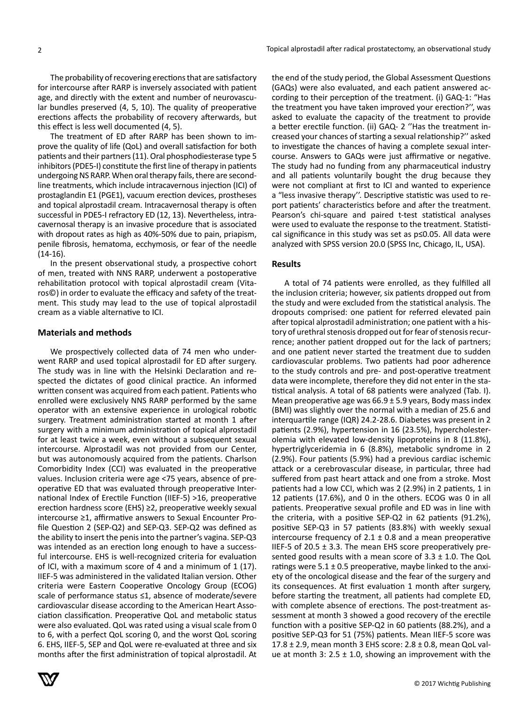The probability of recovering erections that are satisfactory for intercourse after RARP is inversely associated with patient age, and directly with the extent and number of neurovascular bundles preserved (4, 5, 10). The quality of preoperative erections affects the probability of recovery afterwards, but this effect is less well documented (4, 5).

The treatment of ED after RARP has been shown to improve the quality of life (QoL) and overall satisfaction for both patients and their partners (11). Oral phosphodiesterase type 5 inhibitors (PDE5-I) constitute the first line of therapy in patients undergoing NS RARP. When oral therapy fails, there are secondline treatments, which include intracavernous injection (ICI) of prostaglandin E1 (PGE1), vacuum erection devices, prostheses and topical alprostadil cream. Intracavernosal therapy is often successful in PDE5-I refractory ED (12, 13). Nevertheless, intracavernosal therapy is an invasive procedure that is associated with dropout rates as high as 40%-50% due to pain, priapism, penile fibrosis, hematoma, ecchymosis, or fear of the needle (14-16).

In the present observational study, a prospective cohort of men, treated with NNS RARP, underwent a postoperative rehabilitation protocol with topical alprostadil cream (Vitaros©) in order to evaluate the efficacy and safety of the treatment. This study may lead to the use of topical alprostadil cream as a viable alternative to ICI.

## **Materials and methods**

We prospectively collected data of 74 men who underwent RARP and used topical alprostadil for ED after surgery. The study was in line with the Helsinki Declaration and respected the dictates of good clinical practice. An informed written consent was acquired from each patient. Patients who enrolled were exclusively NNS RARP performed by the same operator with an extensive experience in urological robotic surgery. Treatment administration started at month 1 after surgery with a minimum administration of topical alprostadil for at least twice a week, even without a subsequent sexual intercourse. Alprostadil was not provided from our Center, but was autonomously acquired from the patients. Charlson Comorbidity Index (CCI) was evaluated in the preoperative values. Inclusion criteria were age <75 years, absence of preoperative ED that was evaluated through preoperative International Index of Erectile Function (IIEF-5) >16, preoperative erection hardness score (EHS) ≥2, preoperative weekly sexual intercourse ≥1, affirmative answers to Sexual Encounter Profile Question 2 (SEP-Q2) and SEP-Q3. SEP-Q2 was defined as the ability to insert the penis into the partner's vagina. SEP-Q3 was intended as an erection long enough to have a successful intercourse. EHS is well-recognized criteria for evaluation of ICI, with a maximum score of 4 and a minimum of 1 (17). IIEF-5 was administered in the validated Italian version. Other criteria were Eastern Cooperative Oncology Group (ECOG) scale of performance status ≤1, absence of moderate/severe cardiovascular disease according to the American Heart Association classification. Preoperative QoL and metabolic status were also evaluated. QoL was rated using a visual scale from 0 to 6, with a perfect QoL scoring 0, and the worst QoL scoring 6. EHS, IIEF-5, SEP and QoL were re-evaluated at three and six months after the first administration of topical alprostadil. At the end of the study period, the Global Assessment Questions (GAQs) were also evaluated, and each patient answered according to their perception of the treatment. (i) GAQ-1: "Has the treatment you have taken improved your erection?'', was asked to evaluate the capacity of the treatment to provide a better erectile function. (ii) GAQ- 2 ''Has the treatment increased your chances of starting a sexual relationship?'' asked to investigate the chances of having a complete sexual intercourse. Answers to GAQs were just affirmative or negative. The study had no funding from any pharmaceutical industry and all patients voluntarily bought the drug because they were not compliant at first to ICI and wanted to experience a "less invasive therapy''. Descriptive statistic was used to report patients' characteristics before and after the treatment. Pearson's chi-square and paired t-test statistical analyses were used to evaluate the response to the treatment. Statistical significance in this study was set as p≤0.05. All data were analyzed with SPSS version 20.0 (SPSS Inc, Chicago, IL, USA).

## **Results**

A total of 74 patients were enrolled, as they fulfilled all the inclusion criteria; however, six patients dropped out from the study and were excluded from the statistical analysis. The dropouts comprised: one patient for referred elevated pain after topical alprostadil administration; one patient with a history of urethral stenosis dropped out for fear of stenosis recurrence; another patient dropped out for the lack of partners; and one patient never started the treatment due to sudden cardiovascular problems. Two patients had poor adherence to the study controls and pre- and post-operative treatment data were incomplete, therefore they did not enter in the statistical analysis. A total of 68 patients were analyzed (Tab. I). Mean preoperative age was  $66.9 \pm 5.9$  years, Body mass index (BMI) was slightly over the normal with a median of 25.6 and interquartile range (IQR) 24.2-28.6. Diabetes was present in 2 patients (2.9%), hypertension in 16 (23.5%), hypercholesterolemia with elevated low-density lipoproteins in 8 (11.8%), hypertriglyceridemia in 6 (8.8%), metabolic syndrome in 2 (2.9%). Four patients (5.9%) had a previous cardiac ischemic attack or a cerebrovascular disease, in particular, three had suffered from past heart attack and one from a stroke. Most patients had a low CCI, which was 2 (2.9%) in 2 patients, 1 in 12 patients (17.6%), and 0 in the others. ECOG was 0 in all patients. Preoperative sexual profile and ED was in line with the criteria, with a positive SEP-Q2 in 62 patients (91.2%), positive SEP-Q3 in 57 patients (83.8%) with weekly sexual intercourse frequency of 2.1  $\pm$  0.8 and a mean preoperative IIEF-5 of 20.5  $\pm$  3.3. The mean EHS score preoperatively presented good results with a mean score of  $3.3 \pm 1.0$ . The QoL ratings were  $5.1 \pm 0.5$  preoperative, maybe linked to the anxiety of the oncological disease and the fear of the surgery and its consequences. At first evaluation 1 month after surgery, before starting the treatment, all patients had complete ED, with complete absence of erections. The post-treatment assessment at month 3 showed a good recovery of the erectile function with a positive SEP-Q2 in 60 patients (88.2%), and a positive SEP-Q3 for 51 (75%) patients. Mean IIEF-5 score was 17.8 ± 2.9, mean month 3 EHS score: 2.8 ± 0.8, mean QoL value at month 3:  $2.5 \pm 1.0$ , showing an improvement with the

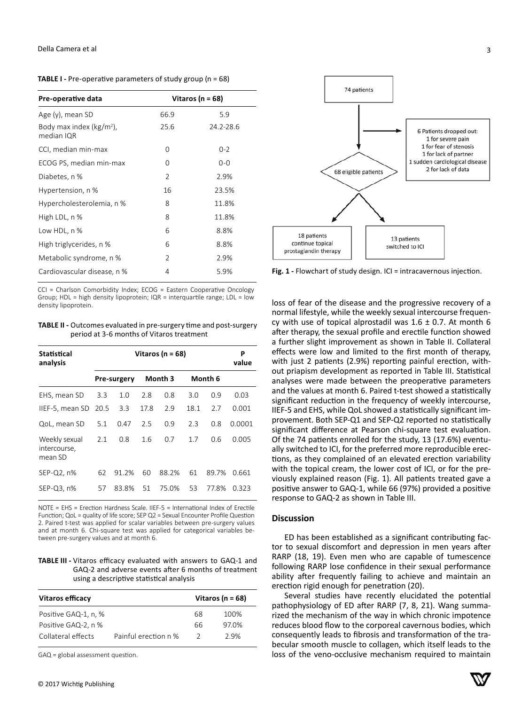| Pre-operative data                        | Vitaros (n = $68$ ) |           |  |  |
|-------------------------------------------|---------------------|-----------|--|--|
| Age (y), mean SD                          | 66.9                | 5.9       |  |  |
| Body max index ( $kg/m2$ ),<br>median IQR | 25.6                | 24.2-28.6 |  |  |
| CCI, median min-max                       | Ω                   | $0 - 2$   |  |  |
| ECOG PS, median min-max                   | Ω                   | $0 - 0$   |  |  |
| Diabetes, n %                             | $\overline{2}$      | 2.9%      |  |  |
| Hypertension, n %                         | 16                  | 23.5%     |  |  |
| Hypercholesterolemia, n %                 | 8                   | 11.8%     |  |  |
| High LDL, n %                             | 8                   | 11.8%     |  |  |
| Low HDL, n %                              | 6                   | 8.8%      |  |  |
| High triglycerides, n %                   | 6                   | 8.8%      |  |  |
| Metabolic syndrome, n %                   | $\overline{2}$      | 2.9%      |  |  |
| Cardiovascular disease, n %               | 4                   | 5.9%      |  |  |

**TABLE I -** Pre-operative parameters of study group (n = 68)

CCI = Charlson Comorbidity Index; ECOG = Eastern Cooperative Oncology Group; HDL = high density lipoprotein; IQR = interquartile range; LDL = low density lipoprotein.

| <b>TABLE II -</b> Outcomes evaluated in pre-surgery time and post-surgery |
|---------------------------------------------------------------------------|
| period at 3-6 months of Vitaros treatment                                 |

| Statistical<br>analysis                  | Vitaros (n = $68$ ) |             |      |         |      |         | P<br>value |
|------------------------------------------|---------------------|-------------|------|---------|------|---------|------------|
|                                          |                     | Pre-surgery |      | Month 3 |      | Month 6 |            |
| EHS, mean SD                             | 3.3                 | 1.0         | 2.8  | 0.8     | 3.0  | 0.9     | 0.03       |
| IIEF-5, mean SD                          | 20.5                | 3.3         | 17.8 | 2.9     | 18.1 | 2.7     | 0.001      |
| QoL, mean SD                             | 5.1                 | 0.47        | 2.5  | 0.9     | 2.3  | 0.8     | 0.0001     |
| Weekly sexual<br>intercourse,<br>mean SD | 2.1                 | 0.8         | 1.6  | 0.7     | 1.7  | 0.6     | 0.005      |
| $SEP-Q2, n%$                             | 62                  | 91.2%       | 60   | 88.2%   | 61   | 89.7%   | 0.661      |
| $SEP-Q3, n%$                             | 57                  | 83.8%       | 51   | 75.0%   | 53.  | 77.8%   | 0.323      |

NOTE = EHS = Erection Hardness Scale. IIEF-5 = International Index of Erectile Function; QoL = quality of life score; SEP Q2 = Sexual Encounter Profile Question 2. Paired t-test was applied for scalar variables between pre-surgery values and at month 6. Chi-square test was applied for categorical variables between pre-surgery values and at month 6.

**TABLE III -** Vitaros efficacy evaluated with answers to GAQ-1 and GAQ-2 and adverse events after 6 months of treatment using a descriptive statistical analysis

| Vitaros efficacy     | Vitaros (n = $68$ )  |    |       |
|----------------------|----------------------|----|-------|
| Positive GAQ-1, n, % |                      | 68 | 100%  |
| Positive GAQ-2. n %  |                      | 66 | 97.0% |
| Collateral effects   | Painful erection n % | 2  | 2.9%  |

GAQ = global assessment question.



**Fig. 1 -** Flowchart of study design. ICI = intracavernous injection.

loss of fear of the disease and the progressive recovery of a normal lifestyle, while the weekly sexual intercourse frequency with use of topical alprostadil was  $1.6 \pm 0.7$ . At month 6 after therapy, the sexual profile and erectile function showed a further slight improvement as shown in Table II. Collateral effects were low and limited to the first month of therapy, with just 2 patients (2.9%) reporting painful erection, without priapism development as reported in Table III. Statistical analyses were made between the preoperative parameters and the values at month 6. Paired t-test showed a statistically significant reduction in the frequency of weekly intercourse, IIEF-5 and EHS, while QoL showed a statistically significant improvement. Both SEP-Q1 and SEP-Q2 reported no statistically significant difference at Pearson chi-square test evaluation. Of the 74 patients enrolled for the study, 13 (17.6%) eventually switched to ICI, for the preferred more reproducible erections, as they complained of an elevated erection variability with the topical cream, the lower cost of ICI, or for the previously explained reason (Fig. 1). All patients treated gave a positive answer to GAQ-1, while 66 (97%) provided a positive response to GAQ-2 as shown in Table III.

#### **Discussion**

ED has been established as a significant contributing factor to sexual discomfort and depression in men years after RARP (18, 19). Even men who are capable of tumescence following RARP lose confidence in their sexual performance ability after frequently failing to achieve and maintain an erection rigid enough for penetration (20).

Several studies have recently elucidated the potential pathophysiology of ED after RARP (7, 8, 21). Wang summarized the mechanism of the way in which chronic impotence reduces blood flow to the corporeal cavernous bodies, which consequently leads to fibrosis and transformation of the trabecular smooth muscle to collagen, which itself leads to the loss of the veno-occlusive mechanism required to maintain

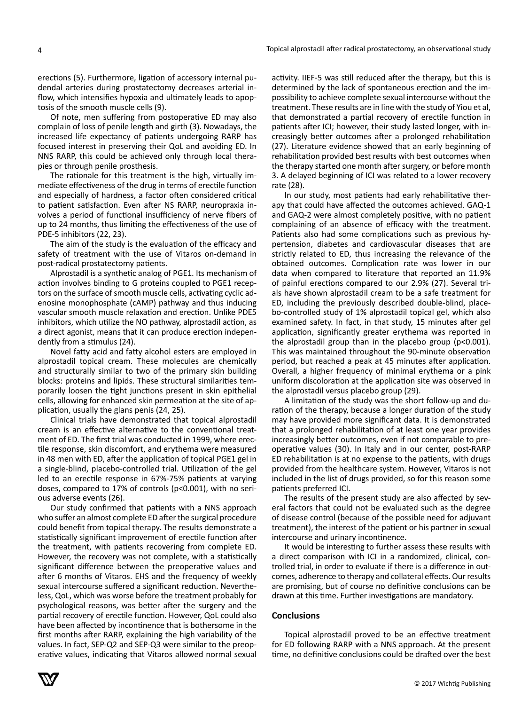erections (5). Furthermore, ligation of accessory internal pudendal arteries during prostatectomy decreases arterial inflow, which intensifies hypoxia and ultimately leads to apoptosis of the smooth muscle cells (9).

Of note, men suffering from postoperative ED may also complain of loss of penile length and girth (3). Nowadays, the increased life expectancy of patients undergoing RARP has focused interest in preserving their QoL and avoiding ED. In NNS RARP, this could be achieved only through local therapies or through penile prosthesis.

The rationale for this treatment is the high, virtually immediate effectiveness of the drug in terms of erectile function and especially of hardness, a factor often considered critical to patient satisfaction. Even after NS RARP, neuropraxia involves a period of functional insufficiency of nerve fibers of up to 24 months, thus limiting the effectiveness of the use of PDE-5 inhibitors (22, 23).

The aim of the study is the evaluation of the efficacy and safety of treatment with the use of Vitaros on-demand in post-radical prostatectomy patients.

Alprostadil is a synthetic analog of PGE1. Its mechanism of action involves binding to G proteins coupled to PGE1 receptors on the surface of smooth muscle cells, activating cyclic adenosine monophosphate (cAMP) pathway and thus inducing vascular smooth muscle relaxation and erection. Unlike PDE5 inhibitors, which utilize the NO pathway, alprostadil action, as a direct agonist, means that it can produce erection independently from a stimulus (24).

Novel fatty acid and fatty alcohol esters are employed in alprostadil topical cream. These molecules are chemically and structurally similar to two of the primary skin building blocks: proteins and lipids. These structural similarities temporarily loosen the tight junctions present in skin epithelial cells, allowing for enhanced skin permeation at the site of application, usually the glans penis (24, 25).

Clinical trials have demonstrated that topical alprostadil cream is an effective alternative to the conventional treatment of ED. The first trial was conducted in 1999, where erectile response, skin discomfort, and erythema were measured in 48 men with ED, after the application of topical PGE1 gel in a single-blind, placebo-controlled trial. Utilization of the gel led to an erectile response in 67%-75% patients at varying doses, compared to 17% of controls (p<0.001), with no serious adverse events (26).

Our study confirmed that patients with a NNS approach who suffer an almost complete ED after the surgical procedure could benefit from topical therapy. The results demonstrate a statistically significant improvement of erectile function after the treatment, with patients recovering from complete ED. However, the recovery was not complete, with a statistically significant difference between the preoperative values and after 6 months of Vitaros. EHS and the frequency of weekly sexual intercourse suffered a significant reduction. Nevertheless, QoL, which was worse before the treatment probably for psychological reasons, was better after the surgery and the partial recovery of erectile function. However, QoL could also have been affected by incontinence that is bothersome in the first months after RARP, explaining the high variability of the values. In fact, SEP-Q2 and SEP-Q3 were similar to the preoperative values, indicating that Vitaros allowed normal sexual

activity. IIEF-5 was still reduced after the therapy, but this is determined by the lack of spontaneous erection and the impossibility to achieve complete sexual intercourse without the treatment. These results are in line with the study of Yiou et al, that demonstrated a partial recovery of erectile function in patients after ICI; however, their study lasted longer, with increasingly better outcomes after a prolonged rehabilitation (27). Literature evidence showed that an early beginning of rehabilitation provided best results with best outcomes when the therapy started one month after surgery, or before month 3. A delayed beginning of ICI was related to a lower recovery rate (28).

In our study, most patients had early rehabilitative therapy that could have affected the outcomes achieved. GAQ-1 and GAQ-2 were almost completely positive, with no patient complaining of an absence of efficacy with the treatment. Patients also had some complications such as previous hypertension, diabetes and cardiovascular diseases that are strictly related to ED, thus increasing the relevance of the obtained outcomes. Complication rate was lower in our data when compared to literature that reported an 11.9% of painful erections compared to our 2.9% (27). Several trials have shown alprostadil cream to be a safe treatment for ED, including the previously described double-blind, placebo-controlled study of 1% alprostadil topical gel, which also examined safety. In fact, in that study, 15 minutes after gel application, significantly greater erythema was reported in the alprostadil group than in the placebo group (p<0.001). This was maintained throughout the 90-minute observation period, but reached a peak at 45 minutes after application. Overall, a higher frequency of minimal erythema or a pink uniform discoloration at the application site was observed in the alprostadil versus placebo group (29).

A limitation of the study was the short follow-up and duration of the therapy, because a longer duration of the study may have provided more significant data. It is demonstrated that a prolonged rehabilitation of at least one year provides increasingly better outcomes, even if not comparable to preoperative values (30). In Italy and in our center, post-RARP ED rehabilitation is at no expense to the patients, with drugs provided from the healthcare system. However, Vitaros is not included in the list of drugs provided, so for this reason some patients preferred ICI.

The results of the present study are also affected by several factors that could not be evaluated such as the degree of disease control (because of the possible need for adjuvant treatment), the interest of the patient or his partner in sexual intercourse and urinary incontinence.

It would be interesting to further assess these results with a direct comparison with ICI in a randomized, clinical, controlled trial, in order to evaluate if there is a difference in outcomes, adherence to therapy and collateral effects. Our results are promising, but of course no definitive conclusions can be drawn at this time. Further investigations are mandatory.

## **Conclusions**

Topical alprostadil proved to be an effective treatment for ED following RARP with a NNS approach. At the present time, no definitive conclusions could be drafted over the best